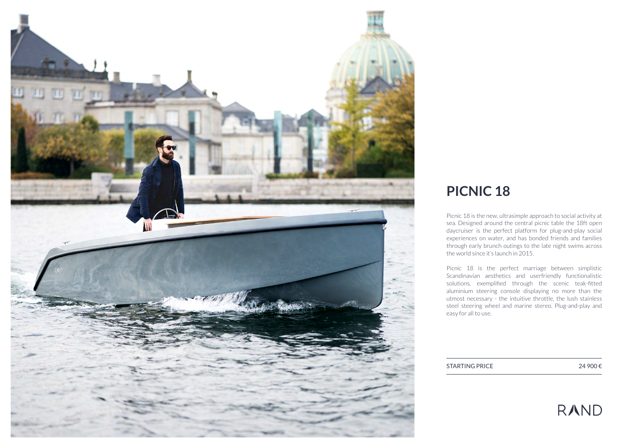

# **PICNIC 18**

Picnic 18 is the new, ultrasimple approach to social activity at sea. Designed around the central picnic table the 18ft open daycruiser is the perfect platform for plug-and-play social experiences on water, and has bonded friends and families through early brunch outings to the late night swims across the world since it's launch in 2015.

Picnic 18 is the perfect marriage between simplistic Scandinavian aesthetics and userfriendly functionalistic solutions, exemplified through the scenic teak-fitted aluminium steering console displaying no more than the utmost necessary - the intuitive throttle, the lush stainless steel steering wheel and marine stereo. Plug-and-play and easy for all to use.

STARTING PRICE 24 900 €

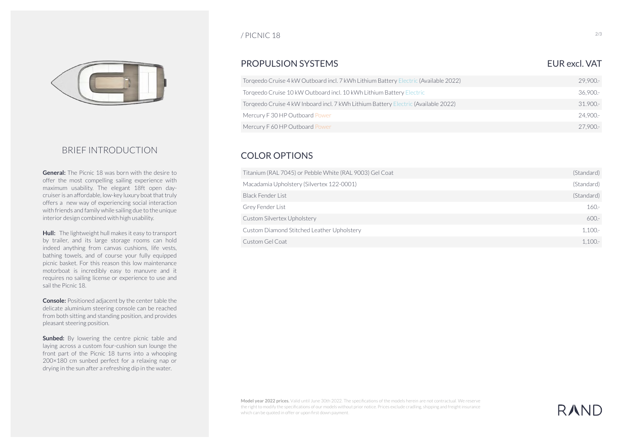

### BRIEF INTRODUCTION

**General:** The Picnic 18 was born with the desire to offer the most compelling sailing experience with maximum usability. The elegant 18ft open daycruiser is an affordable, low-key luxury boat that truly offers a new way of experiencing social interaction with friends and family while sailing due to the unique interior design combined with high usability.

**Hull:** The lightweight hull makes it easy to transport by trailer, and its large storage rooms can hold indeed anything from canvas cushions, life vests, bathing towels, and of course your fully equipped picnic basket. For this reason this low maintenance motorboat is incredibly easy to manuvre and it requires no sailing license or experience to use and sail the Picnic 18.

**Console:** Positioned adjacent by the center table the delicate aluminium steering console can be reached from both sitting and standing position, and provides pleasant steering position.

**Sunbed:** By lowering the centre picnic table and laying across a custom four-cushion sun lounge the front part of the Picnic 18 turns into a whooping 200×180 cm sunbed perfect for a relaxing nap or drying in the sun after a refreshing dip in the water.

#### / PICNIC 18

### PROPULSION SYSTEMS EUR AND THE UNIVERSE EUR AND THE UNIVERSE EUR AND THE UNIVERSE EUR AND THE UNIVERSE ENTITY OF THE USE OF THE USE OF THE USE OF THE USE OF THE USE OF THE USE OF THE USE OF THE USE OF THE USE OF THE USE OF

#### Torqeedo Cruise 4 kW Outboard incl. 7 kWh Lithium Battery Electric (Available 2022) 36,900.- 29,900.- Torqeedo Cruise 10 kW Outboard incl. 10 kWh Lithium Battery Electric Torqeedo Cruise 4 kW Inboard incl. 7 kWh Lithium Battery Electric (Available 2022) 31.900.- Mercury F 30 HP Outboard Power Mercury F 60 HP Outboard Power 24,900.- 27,900.-

## COLOR OPTIONS

| Titanium (RAL 7045) or Pebble White (RAL 9003) Gel Coat | (Standard) |
|---------------------------------------------------------|------------|
| Macadamia Upholstery (Silvertex 122-0001)               | (Standard) |
| Black Fender List                                       | (Standard) |
| Grey Fender List                                        | $160 -$    |
| Custom Silvertex Upholstery                             | $600 -$    |
| Custom Diamond Stitched Leather Upholstery              | $1.100 -$  |
| Custom Gel Coat                                         | $1.100 -$  |

**Model year 2022 prices.** Valid until June 30th 2022. The specifications of the models herein are not contractual. We reserve the right to modify the specifications of our models without prior notice. Prices exclude cradling, shipping and freight insurance which can be quoted in offer or upon first down payment.